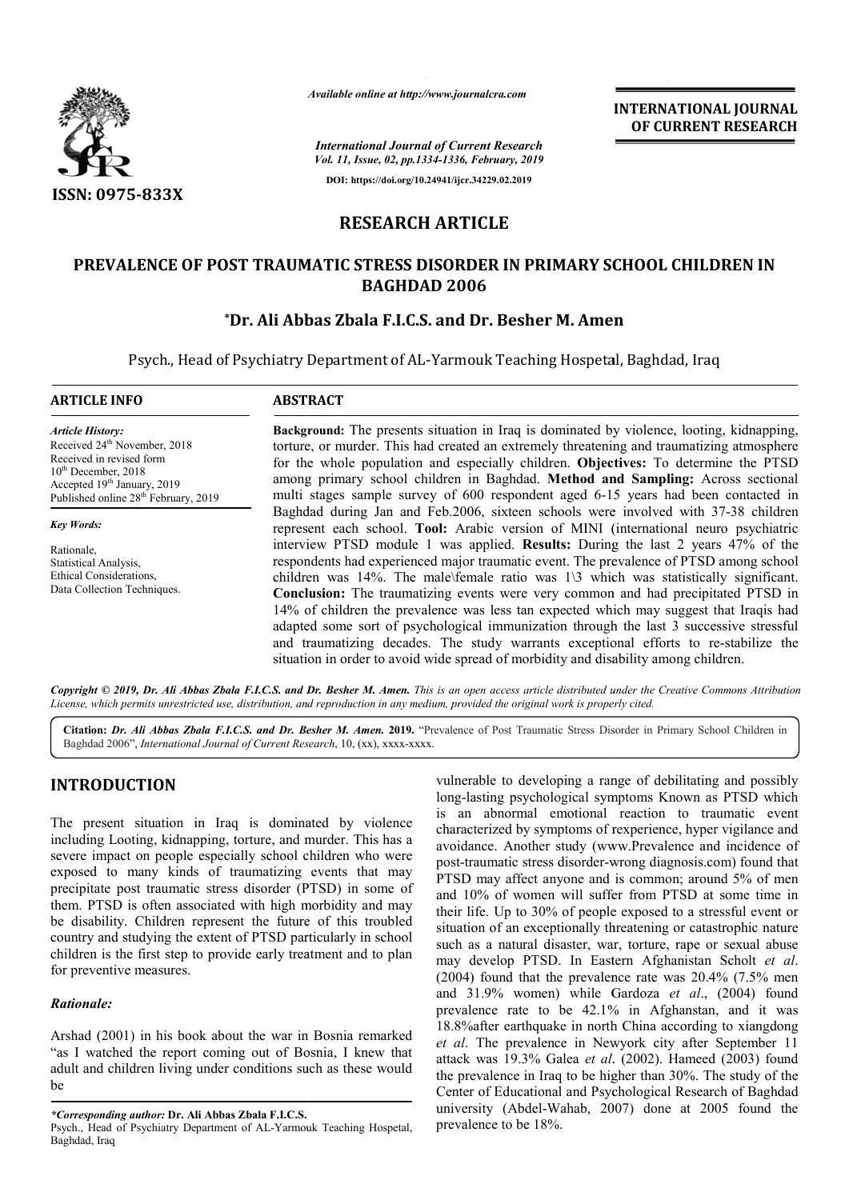

*Available online at http://www.journalcra.com*

**INTERNATIONAL JOURNAL OF CURRENT RESEARCH**

*International Journal of Current Research Vol. 11, Issue, 02, pp.1334-1336, February, 2019* **DOI: https://doi.org/10.24941/ijcr.34229.02.2019**

# **RESEARCH ARTICLE**

# **PREVALENCE OF POST TRAUMATIC STRESS DISORDER IN PRIMARY SCHOOL CHILDREN IN PREVALENCE Besher M. AmenBAGHDAD 2006**

# **\*Dr. Ali Abbas Zbala F.I.C.S. and Dr. Dr. Besher M. Amen**

Psych., Head of Psychiatry Department of AL-Yarmouk Teaching Hospetal, Baghdad, Iraq

#### **ARTICLE INFO ABSTRACT**

*Article History:* Received 24<sup>th</sup> November, 2018 Received in revised form  $10^{th}$  December, 2018 Accepted 19<sup>th</sup> January, 2019 Published online 28<sup>th</sup> February, 2019

*Key Words:*

Rationale, Statistical Analysis, Ethical Considerations, Data Collection Techniques.

**Background Background:** The presents situation in Iraq is dominated by violence, looting, kidnapping, Background: The presents situation in Iraq is dominated by violence, looting, kidnapping, torture, or murder. This had created an extremely threatening and traumatizing atmosphere for the whole population and especially children. Objectives: To determine the PTSD among primary school children in Baghdad. **Method and Sampling:** Across sectional multi stages sample survey of 600 respondent aged 6 6-15 years had been contacted in multi stages sample survey of 600 respondent aged 6-15 years had been contacted in Baghdad during Jan and Feb.2006, sixteen schools were involved with 37-38 children represent each school. **Tool:** Arabic version of MINI (international neuro psychiatric interview PTSD module 1 was applied. **Results:** During the last 2 years 47% of the represent each school. **Tool:** Arabic version of MINI (international neuro psychiatric interview PTSD module 1 was applied. **Results:** During the last 2 years 47% of the respondents had experienced major traumatic event. T children was 14%. The male\female ratio was  $1\backslash 3$  which was statistically significant. children was 14%. The male\female ratio was 1\3 which was statistically significant.<br>**Conclusion:** The traumatizing events were very common and had precipitated PTSD in 14% of children the prevalence was less tan expected which may suggest t 14% of children the prevalence that Iraqis had adapted some sort of psychological immunization through the last 3 successive stressful adapted some sort of psychological immunization through the last 3 successive stressful<br>and traumatizing decades. The study warrants exceptional efforts to re-stabilize the situation in order to avoid wide spread of morbidity and disability among children.

Copyright © 2019, Dr. Ali Abbas Zbala F.I.C.S. and Dr. Besher M. Amen. This is an open access article distributed under the Creative Commons Attribution License, which permits unrestricted use, distribution, and reproduction in any medium, provided the original work is properly cited.

Citation: Dr. Ali Abbas Zbala F.I.C.S. and Dr. Besher M. Amen. 2019. "Prevalence of Post Traumatic Stress Disorder in Primary School Children in Baghdad 2006", *International Journal of Current Research*, 10, (xx), xxxx-xxxx.

# **INTRODUCTION**

The present situation in Iraq is dominated by violence including Looting, kidnapping, torture, and murder. This has a severe impact on people especially school children who were exposed to many kinds of traumatizing events that may precipitate post traumatic stress disorder (PTSD) in some of them. PTSD is often associated with high morbidity and may be disability. Children represent the future of this troubled country and studying the extent of PTSD particularly in school children is the first step to provide early treatment and to plan for preventive measures.

## *Rationale:*

Arshad (2001) in his book about the war in Bosnia remarked Arshad (2001) in his book about the war in Bosnia remarked "as I watched the report coming out of Bosnia, I knew that adult and children living under conditions such as these would be

*\*Corresponding author:* **Dr. Ali Abbas Zbala F.I.C.S.**

vulnerable to developing a range of debilitating and possibly<br>
long-lasting psychological symptoms Known as PTSD which<br>
and morramal encotion to traumatic event<br>
and murder. This has a<br>
avoidance. Another study (www.Preva long-lasting psychological symptoms Known as PTSD which is an abnormal emotional reaction to traumatic event characterized by symptoms of rexperience, hyper vigilance and vulnerable to developing a range of debilitating and possibly<br>long-lasting psychological symptoms Known as PTSD which<br>is an abnormal emotional reaction to traumatic event<br>characterized by symptoms of rexperience, hyper vig post-traumatic stress disorder-wrong diagnosis.com) found that PTSD may affect anyone and is common; around 5% of men and 10% of women will suffer from PTSD at some time in PTSD may affect anyone and is common; around 5% of men<br>and 10% of women will suffer from PTSD at some time in<br>their life. Up to 30% of people exposed to a stressful event or situation of an exceptionally threatening or catastrophic nature such as a natural disaster, war, torture, rape or sexual abuse situation of an exceptionally threatening or catastrophic nature<br>such as a natural disaster, war, torture, rape or sexual abuse<br>may develop PTSD. In Eastern Afghanistan Scholt *et al*. (2004) found that the prevalence rate was 20.4% (7.5% men (2004) found that the prevalence rate was  $20.4\%$  (7.5% men and 31.9% women) while Gardoza *et al.*, (2004) found prevalence rate to be 42.1% in Afghanstan, and it was 18.8%after earthquake in north China according to xiangdong *et al*. The prevalence in Newyork city after September 11 attack was 19.3% Galea *et al*. (2002). Hameed ( the prevalence in Iraq to be higher than 30%. The study of the Center of Educational and Psychological Research of Baghdad university (Abdel-Wahab, 2007) done at 2005 found the prevalence to be 18%. rate to be 42.1% in Afghanstan, and it was<br>earthquake in north China according to xiangdong<br>prevalence in Newyork city after September 11<br>19.3% Galea *et al.* (2002). Hameed (2003) found INTERNATIONAL JOURNAL<br>
Interaction<br>
or CURRENT RESEARCH<br>
contains, 2019<br>
2139.0239)<br>
CLE<br>
CLE<br>
ER IN PRIMARY SCHOOL CHILDREN IN<br>
6<br>
2139.0239)<br>
CLE<br>
ER IN PRIMARY SCHOOL CHILDREN IN<br>
6<br>
71. Besher M. Amen<br>
uk Teaching Hos

Psych., Head of Psychiatry Department of AL-Yarmouk Teaching Hospetal, Baghdad, Iraq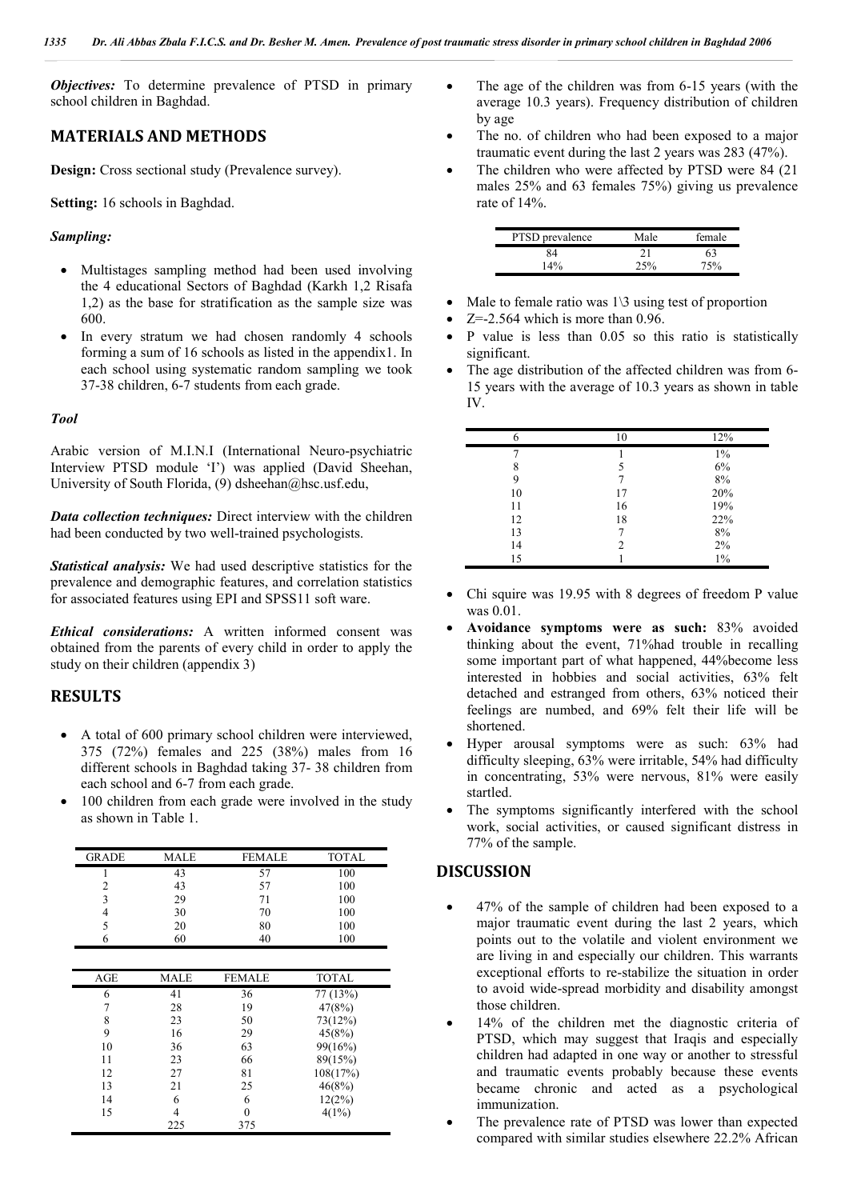*Objectives:* To determine prevalence of PTSD in primary school children in Baghdad.

# **MATERIALS AND METHODS**

**Design:** Cross sectional study (Prevalence survey).

**Setting:** 16 schools in Baghdad.

#### *Sampling:*

- Multistages sampling method had been used involving the 4 educational Sectors of Baghdad (Karkh 1,2 Risafa 1,2) as the base for stratification as the sample size was 600.
- In every stratum we had chosen randomly 4 schools forming a sum of 16 schools as listed in the appendix1. In each school using systematic random sampling we took 37-38 children, 6-7 students from each grade.

#### *Tool*

Arabic version of M.I.N.I (International Neuro-psychiatric Interview PTSD module 'I') was applied (David Sheehan, University of South Florida, (9) dsheehan@hsc.usf.edu,

*Data collection techniques:* Direct interview with the children had been conducted by two well-trained psychologists.

*Statistical analysis:* We had used descriptive statistics for the prevalence and demographic features, and correlation statistics for associated features using EPI and SPSS11 soft ware.

*Ethical considerations:* A written informed consent was obtained from the parents of every child in order to apply the study on their children (appendix 3)

### **RESULTS**

- A total of 600 primary school children were interviewed, 375 (72%) females and 225 (38%) males from 16 different schools in Baghdad taking 37- 38 children from each school and 6-7 from each grade.
- 100 children from each grade were involved in the study as shown in Table 1.

| <b>GRADE</b> | <b>MALE</b> | <b>FEMALE</b> | <b>TOTAL</b> |
|--------------|-------------|---------------|--------------|
| 1            | 43          | 57            | 100          |
| 2            | 43          | 57            | 100          |
| 3            | 29          | 71            | 100          |
| 4            | 30          | 70            | 100          |
| 5            | 20          | 80            | 100          |
| 6            | 60          | 40            | 100          |
|              |             |               |              |
| <b>AGE</b>   | <b>MALE</b> | FEMALE        | TOTAL        |
| 6            | 41          | 36            | 77 (13%)     |
| 7            | 28          | 19            | 47(8%)       |
| 8            | 23          | 50            | 73(12%)      |
| 9            | 16          | 29            | 45(8%)       |
| 10           | 36          | 63            | 99(16%)      |
| 11           | 23          | 66            | 89(15%)      |
| 12           | 27          | 81            | 108(17%)     |
| 13           | 21          | 25            | 46(8%)       |
| 14           | 6           | 6             | 12(2%)       |
| 15           | 4           | $\theta$      | 4(1%)        |
|              | 225         | 375           |              |

- The age of the children was from 6-15 years (with the average 10.3 years). Frequency distribution of children by age
- The no. of children who had been exposed to a major traumatic event during the last 2 years was 283 (47%).
- The children who were affected by PTSD were 84 (21 males 25% and 63 females 75%) giving us prevalence rate of 14%.

| PTSD prevalence | Male | female |
|-----------------|------|--------|
| 84              | 21   | 63     |
| 14%             | 25%  | 75%    |

- Male to female ratio was 1\3 using test of proportion
- $Z=-2.564$  which is more than 0.96.
- P value is less than 0.05 so this ratio is statistically significant.
- The age distribution of the affected children was from 6- 15 years with the average of 10.3 years as shown in table IV.

| 10 | 12%   |
|----|-------|
|    | $1\%$ |
| 5  | 6%    |
|    | 8%    |
| 17 | 20%   |
| 16 | 19%   |
| 18 | 22%   |
| 7  | 8%    |
| 2  | 2%    |
|    | $1\%$ |
|    |       |

- Chi squire was 19.95 with 8 degrees of freedom P value was 0.01.
- **Avoidance symptoms were as such:** 83% avoided thinking about the event, 71%had trouble in recalling some important part of what happened, 44%become less interested in hobbies and social activities, 63% felt detached and estranged from others, 63% noticed their feelings are numbed, and 69% felt their life will be shortened.
- Hyper arousal symptoms were as such: 63% had difficulty sleeping, 63% were irritable, 54% had difficulty in concentrating, 53% were nervous, 81% were easily startled.
- The symptoms significantly interfered with the school work, social activities, or caused significant distress in 77% of the sample.

### **DISCUSSION**

- 47% of the sample of children had been exposed to a major traumatic event during the last 2 years, which points out to the volatile and violent environment we are living in and especially our children. This warrants exceptional efforts to re-stabilize the situation in order to avoid wide-spread morbidity and disability amongst those children.
- 14% of the children met the diagnostic criteria of PTSD, which may suggest that Iraqis and especially children had adapted in one way or another to stressful and traumatic events probably because these events became chronic and acted as a psychological immunization.
- The prevalence rate of PTSD was lower than expected compared with similar studies elsewhere 22.2% African